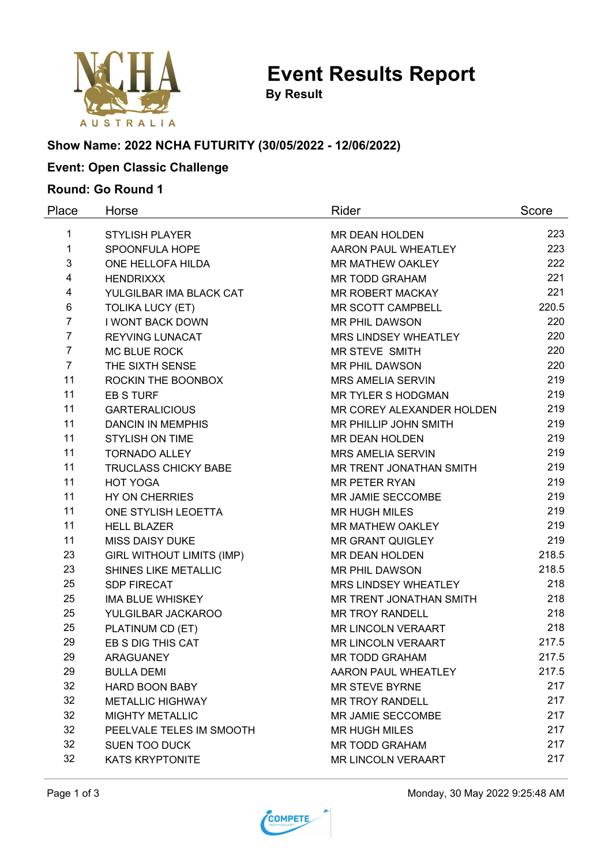

**Event Results Report**

**By Result**

# **Show Name: 2022 NCHA FUTURITY (30/05/2022 - 12/06/2022)**

## **Event: Open Classic Challenge**

#### **Round: Go Round 1**

| Place          | Horse                            | Rider                     | Score |
|----------------|----------------------------------|---------------------------|-------|
| 1              | <b>STYLISH PLAYER</b>            | MR DEAN HOLDEN            | 223   |
| $\mathbf 1$    | SPOONFULA HOPE                   | AARON PAUL WHEATLEY       | 223   |
| 3              | ONE HELLOFA HILDA                | MR MATHEW OAKLEY          | 222   |
| 4              | <b>HENDRIXXX</b>                 | <b>MR TODD GRAHAM</b>     | 221   |
| 4              | YULGILBAR IMA BLACK CAT          | MR ROBERT MACKAY          | 221   |
| 6              | <b>TOLIKA LUCY (ET)</b>          | MR SCOTT CAMPBELL         | 220.5 |
| $\overline{7}$ | <b>I WONT BACK DOWN</b>          | <b>MR PHIL DAWSON</b>     | 220   |
| $\overline{7}$ | REYVING LUNACAT                  | MRS LINDSEY WHEATLEY      | 220   |
| $\overline{7}$ | <b>MC BLUE ROCK</b>              | <b>MR STEVE SMITH</b>     | 220   |
| $\overline{7}$ | THE SIXTH SENSE                  | MR PHIL DAWSON            | 220   |
| 11             | ROCKIN THE BOONBOX               | <b>MRS AMELIA SERVIN</b>  | 219   |
| 11             | <b>EB S TURF</b>                 | <b>MR TYLER S HODGMAN</b> | 219   |
| 11             | <b>GARTERALICIOUS</b>            | MR COREY ALEXANDER HOLDEN | 219   |
| 11             | <b>DANCIN IN MEMPHIS</b>         | MR PHILLIP JOHN SMITH     | 219   |
| 11             | <b>STYLISH ON TIME</b>           | MR DEAN HOLDEN            | 219   |
| 11             | <b>TORNADO ALLEY</b>             | <b>MRS AMELIA SERVIN</b>  | 219   |
| 11             | TRUCLASS CHICKY BABE             | MR TRENT JONATHAN SMITH   | 219   |
| 11             | <b>HOT YOGA</b>                  | <b>MR PETER RYAN</b>      | 219   |
| 11             | HY ON CHERRIES                   | MR JAMIE SECCOMBE         | 219   |
| 11             | ONE STYLISH LEOETTA              | <b>MR HUGH MILES</b>      | 219   |
| 11             | <b>HELL BLAZER</b>               | MR MATHEW OAKLEY          | 219   |
| 11             | <b>MISS DAISY DUKE</b>           | <b>MR GRANT QUIGLEY</b>   | 219   |
| 23             | <b>GIRL WITHOUT LIMITS (IMP)</b> | MR DEAN HOLDEN            | 218.5 |
| 23             | SHINES LIKE METALLIC             | MR PHIL DAWSON            | 218.5 |
| 25             | <b>SDP FIRECAT</b>               | MRS LINDSEY WHEATLEY      | 218   |
| 25             | <b>IMA BLUE WHISKEY</b>          | MR TRENT JONATHAN SMITH   | 218   |
| 25             | YULGILBAR JACKAROO               | <b>MR TROY RANDELL</b>    | 218   |
| 25             | PLATINUM CD (ET)                 | <b>MR LINCOLN VERAART</b> | 218   |
| 29             | EB S DIG THIS CAT                | <b>MR LINCOLN VERAART</b> | 217.5 |
| 29             | <b>ARAGUANEY</b>                 | <b>MR TODD GRAHAM</b>     | 217.5 |
| 29             | <b>BULLA DEMI</b>                | AARON PAUL WHEATLEY       | 217.5 |
| 32             | <b>HARD BOON BABY</b>            | <b>MR STEVE BYRNE</b>     | 217   |
| 32             | <b>METALLIC HIGHWAY</b>          | <b>MR TROY RANDELL</b>    | 217   |
| 32             | <b>MIGHTY METALLIC</b>           | MR JAMIE SECCOMBE         | 217   |
| 32             | PEELVALE TELES IM SMOOTH         | <b>MR HUGH MILES</b>      | 217   |
| 32             | <b>SUEN TOO DUCK</b>             | MR TODD GRAHAM            | 217   |
| 32             | <b>KATS KRYPTONITE</b>           | <b>MR LINCOLN VERAART</b> | 217   |



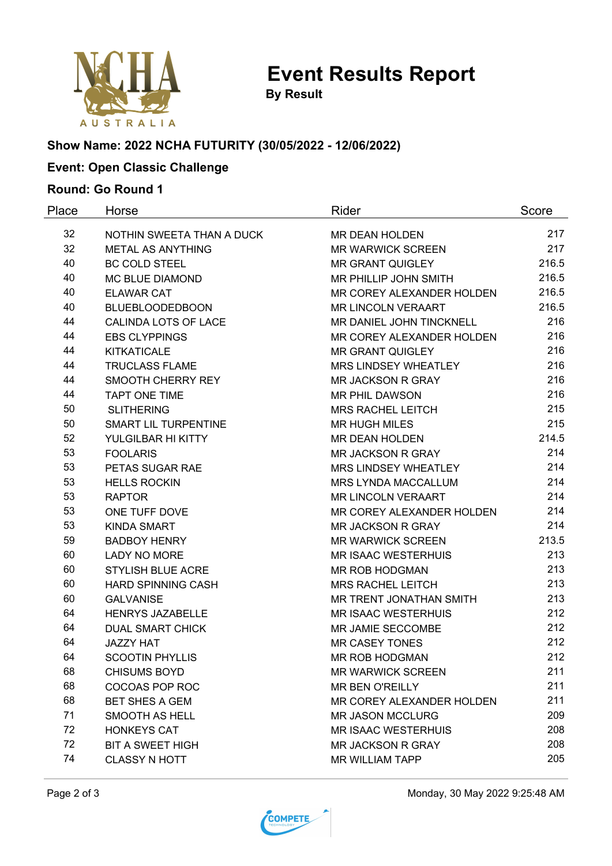

**Event Results Report**

**By Result**

## **Show Name: 2022 NCHA FUTURITY (30/05/2022 - 12/06/2022)**

## **Event: Open Classic Challenge**

#### **Round: Go Round 1**

| Place | Horse                       | Rider                      | Score |
|-------|-----------------------------|----------------------------|-------|
| 32    | NOTHIN SWEETA THAN A DUCK   | MR DEAN HOLDEN             | 217   |
| 32    | <b>METAL AS ANYTHING</b>    | <b>MR WARWICK SCREEN</b>   | 217   |
| 40    | <b>BC COLD STEEL</b>        | <b>MR GRANT QUIGLEY</b>    | 216.5 |
| 40    | <b>MC BLUE DIAMOND</b>      | MR PHILLIP JOHN SMITH      | 216.5 |
| 40    | <b>ELAWAR CAT</b>           | MR COREY ALEXANDER HOLDEN  | 216.5 |
| 40    | <b>BLUEBLOODEDBOON</b>      | <b>MR LINCOLN VERAART</b>  | 216.5 |
| 44    | CALINDA LOTS OF LACE        | MR DANIEL JOHN TINCKNELL   | 216   |
| 44    | <b>EBS CLYPPINGS</b>        | MR COREY ALEXANDER HOLDEN  | 216   |
| 44    | <b>KITKATICALE</b>          | <b>MR GRANT QUIGLEY</b>    | 216   |
| 44    | <b>TRUCLASS FLAME</b>       | MRS LINDSEY WHEATLEY       | 216   |
| 44    | SMOOTH CHERRY REY           | <b>MR JACKSON R GRAY</b>   | 216   |
| 44    | <b>TAPT ONE TIME</b>        | <b>MR PHIL DAWSON</b>      | 216   |
| 50    | <b>SLITHERING</b>           | <b>MRS RACHEL LEITCH</b>   | 215   |
| 50    | <b>SMART LIL TURPENTINE</b> | <b>MR HUGH MILES</b>       | 215   |
| 52    | YULGILBAR HI KITTY          | MR DEAN HOLDEN             | 214.5 |
| 53    | <b>FOOLARIS</b>             | <b>MR JACKSON R GRAY</b>   | 214   |
| 53    | PETAS SUGAR RAE             | MRS LINDSEY WHEATLEY       | 214   |
| 53    | <b>HELLS ROCKIN</b>         | <b>MRS LYNDA MACCALLUM</b> | 214   |
| 53    | <b>RAPTOR</b>               | <b>MR LINCOLN VERAART</b>  | 214   |
| 53    | ONE TUFF DOVE               | MR COREY ALEXANDER HOLDEN  | 214   |
| 53    | <b>KINDA SMART</b>          | <b>MR JACKSON R GRAY</b>   | 214   |
| 59    | <b>BADBOY HENRY</b>         | <b>MR WARWICK SCREEN</b>   | 213.5 |
| 60    | <b>LADY NO MORE</b>         | <b>MR ISAAC WESTERHUIS</b> | 213   |
| 60    | <b>STYLISH BLUE ACRE</b>    | MR ROB HODGMAN             | 213   |
| 60    | <b>HARD SPINNING CASH</b>   | <b>MRS RACHEL LEITCH</b>   | 213   |
| 60    | <b>GALVANISE</b>            | MR TRENT JONATHAN SMITH    | 213   |
| 64    | <b>HENRYS JAZABELLE</b>     | <b>MR ISAAC WESTERHUIS</b> | 212   |
| 64    | <b>DUAL SMART CHICK</b>     | MR JAMIE SECCOMBE          | 212   |
| 64    | <b>JAZZY HAT</b>            | <b>MR CASEY TONES</b>      | 212   |
| 64    | <b>SCOOTIN PHYLLIS</b>      | MR ROB HODGMAN             | 212   |
| 68    | <b>CHISUMS BOYD</b>         | <b>MR WARWICK SCREEN</b>   | 211   |
| 68    | <b>COCOAS POP ROC</b>       | <b>MR BEN O'REILLY</b>     | 211   |
| 68    | <b>BET SHES A GEM</b>       | MR COREY ALEXANDER HOLDEN  | 211   |
| 71    | SMOOTH AS HELL              | <b>MR JASON MCCLURG</b>    | 209   |
| 72    | <b>HONKEYS CAT</b>          | <b>MR ISAAC WESTERHUIS</b> | 208   |
| 72    | <b>BIT A SWEET HIGH</b>     | MR JACKSON R GRAY          | 208   |
| 74    | <b>CLASSY N HOTT</b>        | <b>MR WILLIAM TAPP</b>     | 205   |